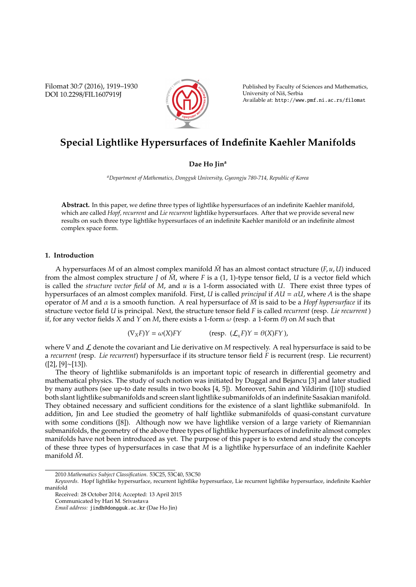Filomat 30:7 (2016), 1919–1930 DOI 10.2298/FIL1607919J



Published by Faculty of Sciences and Mathematics, University of Niš, Serbia Available at: http://www.pmf.ni.ac.rs/filomat

# **Special Lightlike Hypersurfaces of Indefinite Kaehler Manifolds**

# **Dae Ho Jin<sup>a</sup>**

*<sup>a</sup>Department of Mathematics, Dongguk University, Gyeongju 780-714, Republic of Korea*

**Abstract.** In this paper, we define three types of lightlike hypersurfaces of an indefinite Kaehler manifold, which are called *Hopf, recurrent* and *Lie recurrent* lightlike hypersurfaces. After that we provide several new results on such three type lightlike hypersurfaces of an indefinite Kaehler manifold or an indefinite almost complex space form.

# **1. Introduction**

A hypersurfaces *M* of an almost complex manifold  $\bar{M}$  has an almost contact structure ( $F$ ,  $u$ ,  $U$ ) induced from the almost complex structure *J* of  $\bar{M}$ , where *F* is a (1, 1)-type tensor field, *U* is a vector field which is called the *structure vector field* of *M*, and *u* is a 1-form associated with *U*. There exist three types of hypersurfaces of an almost complex manifold. First, *U* is called *principal* if  $AU = \alpha U$ , where *A* is the shape operator of *M* and  $\alpha$  is a smooth function. A real hypersurface of  $\bar{M}$  is said to be a *Hopf hypersurface* if its structure vector field *U* is principal. Next, the structure tensor field *F* is called *recurrent* (resp. *Lie recurrent* ) if, for any vector fields *X* and *Y* on *M*, there exists a 1-form  $\omega$  (resp. a 1-form  $\theta$ ) on *M* such that

$$
(\nabla_X F)Y = \omega(X)FY \qquad \text{(resp. } (\mathcal{L}_X F)Y = \theta(X)FY),
$$

where  $∇$  and  $L$  denote the covariant and Lie derivative on *M* respectively. A real hypersurface is said to be a *recurrent* (resp. *Lie recurrent*) hypersurface if its structure tensor field *F* is recurrent (resp. Lie recurrent) ([2], [9]∼[13]).

The theory of lightlike submanifolds is an important topic of research in differential geometry and mathematical physics. The study of such notion was initiated by Duggal and Bejancu [3] and later studied by many authors (see up-to date results in two books [4, 5]). Moreover, Sahin and Yildirim ([10]) studied both slant lightlike submanifolds and screen slant lightlike submanifolds of an indefinite Sasakian manifold. They obtained necessary and sufficient conditions for the existence of a slant lightlike submanifold. In addition, Jin and Lee studied the geometry of half lightlike submanifolds of quasi-constant curvature with some conditions ([8]). Although now we have lightlike version of a large variety of Riemannian submanifolds, the geometry of the above three types of lightlike hypersurfaces of indefinite almost complex manifolds have not been introduced as yet. The purpose of this paper is to extend and study the concepts of these three types of hypersurfaces in case that *M* is a lightlike hypersurface of an indefinite Kaehler manifold  $\overline{M}$ .

<sup>2010</sup> *Mathematics Subject Classification*. 53C25, 53C40, 53C50

*Keywords*. Hopf lightlike hypersurface, recurrent lightlike hypersurface, Lie recurrent lightlike hypersurface, indefinite Kaehler manifold

Received: 28 October 2014; Accepted: 13 April 2015

Communicated by Hari M. Srivastava

*Email address:* jindh@dongguk.ac.kr (Dae Ho Jin)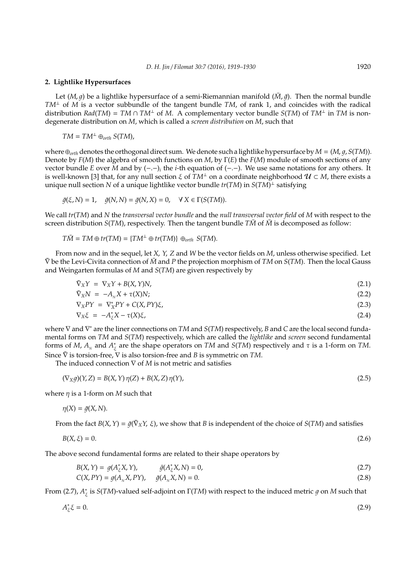#### **2. Lightlike Hypersurfaces**

Let  $(M, q)$  be a lightlike hypersurface of a semi-Riemannian manifold  $(M, \bar{q})$ . Then the normal bundle *TM*<sup>⊥</sup> of *M* is a vector subbundle of the tangent bundle *TM*, of rank 1, and coincides with the radical distribution *Rad*(*TM*) = *TM*  $\cap$  *TM*<sup> $\perp$ </sup> of *M*. A complementary vector bundle *S*(*TM*) of *TM*<sup> $\perp$ </sup> in *TM* is nondegenerate distribution on *M*, which is called a *screen distribution* on *M*, such that

$$
TM = TM^{\perp} \oplus_{orth} S(TM),
$$

where  $\oplus$ <sub>orth</sub> denotes the orthogonal direct sum. We denote such a lightlike hypersurface by  $M = (M, q, S(TM))$ . Denote by *F*(*M*) the algebra of smooth functions on *M*, by Γ(*E*) the *F*(*M*) module of smooth sections of any vector bundle *E* over *M* and by (−.−)*<sup>i</sup>* the *i*-th equation of (−.−). We use same notations for any others. It is well-known [3] that, for any null section  $\xi$  of  $TM^{\perp}$  on a coordinate neighborhood  $U \subset M$ , there exists a unique null section *N* of a unique lightlike vector bundle *tr*(*TM*) in *S*(*TM*) <sup>⊥</sup> satisfying

$$
\bar{g}(\xi, N) = 1, \quad \bar{g}(N, N) = \bar{g}(N, X) = 0, \quad \forall X \in \Gamma(S(TM)).
$$

We call *tr*(*TM*) and *N* the *transversal vector bundle* and the *null transversal vector field* of *M* with respect to the screen distribution  $S(TM)$ , respectively. Then the tangent bundle  $T\bar{M}$  of  $\bar{M}$  is decomposed as follow:

$$
T\overline{M} = TM \oplus tr(TM) = \{TM^{\perp} \oplus tr(TM)\} \oplus_{orth} S(TM).
$$

From now and in the sequel, let *X*, *Y*, *Z* and *W* be the vector fields on *M*, unless otherwise specified. Let  $\bar{\nabla}$  be the Levi-Civita connection of  $\bar{M}$  and  $P$  the projection morphism of  $TM$  on  $S(TM)$ . Then the local Gauss and Weingarten formulas of *M* and *S*(*TM*) are given respectively by

$$
\bar{\nabla}_X Y = \nabla_X Y + B(X, Y) N, \tag{2.1}
$$

$$
\begin{aligned}\n\bar{\nabla}_X N &= -A_N X + \tau(X) N; \\
\nabla_X P Y &= \nabla_X^* P Y + C(X, P Y) \xi,\n\end{aligned}\n\tag{2.2}
$$

$$
\nabla_X PY = \nabla_X^* PY + C(X, PY)\xi,
$$
  
\n
$$
\nabla_X \xi = -A_{\xi}^* X - \tau(X)\xi,
$$
\n(2.3)

where ∇ and ∇ <sup>∗</sup> are the liner connections on *TM* and *S*(*TM*) respectively, *B* and *C* are the local second fundamental forms on *TM* and *S*(*TM*) respectively, which are called the *lightlike* and *screen* second fundamental forms of *M*,  $A_N$  and  $A_N^*$ ξ are the shape operators on *TM* and *S*(*TM*) respectively and τ is a 1-form on *TM*. Since  $\bar{\nabla}$  is torsion-free,  $\nabla$  is also torsion-free and *B* is symmetric on *TM*.

The induced connection ∇ of *M* is not metric and satisfies

$$
(\nabla_X g)(Y, Z) = B(X, Y) \eta(Z) + B(X, Z) \eta(Y),
$$
\n(2.5)

where η is a 1-form on *M* such that

$$
\eta(X) = \bar{g}(X, N).
$$

From the fact  $B(X, Y) = \bar{g}(\bar{\nabla}_X Y, \xi)$ , we show that *B* is independent of the choice of *S*(*TM*) and satisfies

$$
B(X,\xi) = 0.\tag{2.6}
$$

The above second fundamental forms are related to their shape operators by

$$
B(X,Y) = g(A_{\xi}^{*}X,Y), \qquad \bar{g}(A_{\xi}^{*}X,N) = 0,
$$
\n(2.7)

$$
C(X, PY) = g(AN X, PY), \quad \bar{g}(AN X, N) = 0.
$$
\n(2.8)

From (2.7), *A* ∗  $\frac{\epsilon}{\xi}$  is *S*(*TM*)-valued self-adjoint on Γ(*TM*) with respect to the induced metric  $g$  on *M* such that

$$
A_{\xi}^* \xi = 0. \tag{2.9}
$$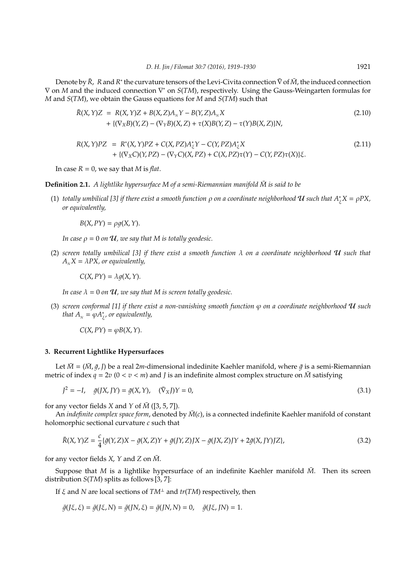Denote by *R*̄, R and *R*<sup>\*</sup> the curvature tensors of the Levi-Civita connection  $\bar{\nabla}$  of  $\bar{M}$ , the induced connection ∇ on *M* and the induced connection ∇ <sup>∗</sup> on *S*(*TM*), respectively. Using the Gauss-Weingarten formulas for *M* and *S*(*TM*), we obtain the Gauss equations for *M* and *S*(*TM*) such that

$$
\bar{R}(X,Y)Z = R(X,Y)Z + B(X,Z)A_{N}Y - B(Y,Z)A_{N}X \n+ \{ (\nabla_{X}B)(Y,Z) - (\nabla_{Y}B)(X,Z) + \tau(X)B(Y,Z) - \tau(Y)B(X,Z) \}N,
$$
\n(2.10)

$$
R(X,Y)PZ = R^*(X,Y)PZ + C(X,PZ)A_{\xi}^*Y - C(Y,PZ)A_{\xi}^*X + \{(\nabla_X C)(Y,PZ) - (\nabla_Y C)(X,PZ) + C(X,PZ)\tau(Y) - C(Y,PZ)\tau(X)\}\xi.
$$
\n(2.11)

In case  $R = 0$ , we say that *M* is *flat*.

**Definition 2.1.** *A lightlike hypersurface M of a semi-Riemannian manifold*  $\bar{M}$  *is said to be* 

(1) *totally umbilical [3] if there exist a smooth function*  $\rho$  *on a coordinate neighborhood*  $\bm{u}$  *such that*  $A^*_\xi X = \rho PX$ *, or equivalently,*

 $B(X, PY) = \rho q(X, Y).$ 

*In case*  $\rho = 0$  *on U*, we say that M is totally geodesic.

(2) *screen totally umbilical [3] if there exist a smooth function* λ *on a coordinate neighborhood* U *such that*  $A<sub>N</sub>X = \lambda PX$ , or equivalently,

 $C(X, PY) = \lambda q(X, Y).$ 

*In case*  $\lambda = 0$  *on*  $\mathcal{U}$ *, we say that M is screen totally geodesic.* 

(3) *screen conformal [1] if there exist a non-vanishing smooth function* ϕ *on a coordinate neighborhood* U *such that*  $A_{N} = \varphi A_{\xi}^{*}$ ξ *, or equivalently,*

 $C(X, PY) = \varphi B(X, Y).$ 

#### **3. Recurrent Lightlike Hypersurfaces**

Let  $\bar{M} = (\bar{M}, \bar{q}, I)$  be a real 2*m*-dimensional indedinite Kaehler manifold, where  $\bar{q}$  is a semi-Riemannian metric of index  $q = 2v$  ( $0 < v < m$ ) and *J* is an indefinite almost complex structure on  $\overline{M}$  satisfying

$$
J^{2} = -I, \quad \bar{g}(JX, JY) = \bar{g}(X, Y), \quad (\bar{\nabla}_{X}J)Y = 0,
$$
\n(3.1)

for any vector fields *X* and *Y* of  $\overline{M}$  ([3, 5, 7]).

An *indefinite complex space form*, denoted by  $\bar{M}(c)$ , is a connected indefinite Kaehler manifold of constant holomorphic sectional curvature *c* such that

$$
\bar{R}(X,Y)Z = \frac{c}{4}\{\bar{g}(Y,Z)X - \bar{g}(X,Z)Y + \bar{g}(JY,Z)JX - \bar{g}(JX,Z)JY + 2\bar{g}(X,JY)JZ\},\tag{3.2}
$$

for any vector fields  $X$ ,  $Y$  and  $Z$  on  $\overline{M}$ .

Suppose that *M* is a lightlike hypersurface of an indefinite Kaehler manifold  $\bar{M}$ . Then its screen distribution *S*(*TM*) splits as follows [3, 7]:

If ξ and *N* are local sections of *TM*<sup>⊥</sup> and *tr*(*TM*) respectively, then

 $\bar{q}(\bar{\chi}, \xi) = \bar{q}(\bar{\chi}, N) = \bar{q}(\bar{N}, \xi) = \bar{q}(\bar{N}, N) = 0, \quad \bar{q}(\bar{\chi}, \bar{N}) = 1.$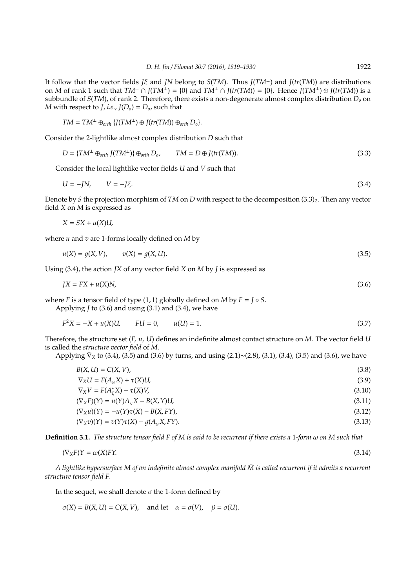It follow that the vector fields *J*<sub>ξ</sub> and *JN* belong to *S*(*TM*). Thus *J*(*TM*<sup>⊥</sup>) and *J*(*tr*(*TM*)) are distributions on *M* of rank 1 such that  $TM^{\perp} \cap J(TM^{\perp}) = \{0\}$  and  $TM^{\perp} \cap J(tr(TM)) = \{0\}$ . Hence  $J(TM^{\perp}) \oplus J(tr(TM))$  is a subbundle of *S*(*TM*), of rank 2. Therefore, there exists a non-degenerate almost complex distribution *D<sup>o</sup>* on *M* with respect to *J*, *i.e.*,  $J(D_0) = D_0$ , such that

$$
TM = TM^{\perp} \oplus_{orth} \{J(TM^{\perp}) \oplus J(tr(TM)) \oplus_{orth} D_o\}.
$$

Consider the 2-lightlike almost complex distribution *D* such that

$$
D = \{TM^{\perp} \oplus_{orth} J(TM^{\perp})\} \oplus_{orth} D_o, \qquad TM = D \oplus J(tr(TM)). \tag{3.3}
$$

Consider the local lightlike vector fields *U* and *V* such that

$$
U = -JN, \qquad V = -J\xi. \tag{3.4}
$$

Denote by *S* the projection morphism of *TM* on *D* with respect to the decomposition  $(3.3)_2$ . Then any vector field *X* on *M* is expressed as

$$
X = SX + u(X)U,
$$

where *u* and *v* are 1-forms locally defined on *M* by

$$
u(X) = g(X, V), \qquad v(X) = g(X, U). \tag{3.5}
$$

Using (3.4), the action *JX* of any vector field *X* on *M* by *J* is expressed as

$$
JX = FX + u(X)N,\tag{3.6}
$$

where *F* is a tensor field of type  $(1, 1)$  globally defined on *M* by  $F = J \circ S$ .

Applying *J* to (3.6) and using (3.1) and (3.4), we have

$$
F^2X = -X + u(X)U, \qquad FU = 0, \qquad u(U) = 1. \tag{3.7}
$$

Therefore, the structure set (*F*, *u*, *U*) defines an indefinite almost contact structure on *M*. The vector field *U* is called the *structure vector field* of *M*.

Applying  $\bar{\nabla}_X$  to (3.4), (3.5) and (3.6) by turns, and using (2.1)∼(2.8), (3.1), (3.4), (3.5) and (3.6), we have

| $B(X, U) = C(X, V)$ ,                              | (3.8)  |
|----------------------------------------------------|--------|
| $\nabla_X U = F(A_x X) + \tau(X)U,$                | (3.9)  |
| $\nabla_X V = F(A^*_{\varepsilon} X) - \tau(X) V,$ | (3.10) |
| $(\nabla_X F)(Y) = u(Y)A_X X - B(X, Y)U,$          | (3.11) |
| $(\nabla_X u)(Y) = -u(Y)\tau(X) - B(X, FY),$       | (3.12) |
| $(\nabla_X v)(Y) = v(Y)\tau(X) - q(A_x X, FY).$    | (3.13) |

**Definition 3.1.** *The structure tensor field F of M is said to be recurrent if there exists a* 1*-form* ω *on M such that*

$$
(\nabla_X F)Y = \omega(X)FY. \tag{3.14}
$$

*A lightlike hypersurface M of an indefinite almost complex manifold*  $\bar{M}$  *is called recurrent if it admits a recurrent structure tensor field F.*

In the sequel, we shall denote  $\sigma$  the 1-form defined by

 $\sigma(X) = B(X, U) = C(X, V)$ , and let  $\alpha = \sigma(V)$ ,  $\beta = \sigma(U)$ .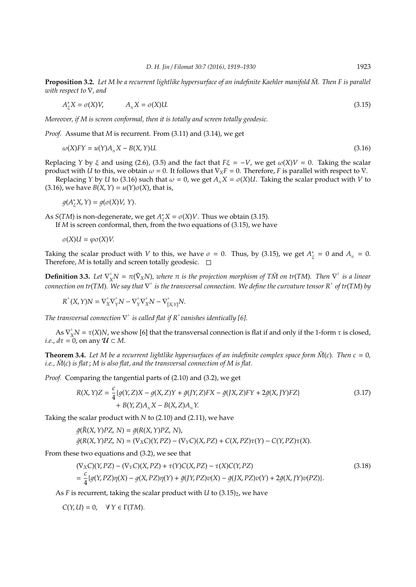**Proposition 3.2.** *Let M be a recurrent lightlike hypersurface of an indefinite Kaehler manifold M. Then F is parallel* ¯ *with respect to* ∇*, and*

$$
A_{\xi}^* X = \sigma(X) V, \qquad A_{N} X = \sigma(X) U. \tag{3.15}
$$

*Moreover, if M is screen conformal, then it is totally and screen totally geodesic.*

*Proof.* Assume that *M* is recurrent. From (3.11) and (3.14), we get

$$
\omega(X)FY = u(Y)A_{N}X - B(X,Y)U.
$$
\n(3.16)

Replacing *Y* by  $\xi$  and using (2.6), (3.5) and the fact that  $F\xi = -V$ , we get  $\omega(X)V = 0$ . Taking the scalar product with *U* to this, we obtain  $\omega = 0$ . It follows that  $\nabla_X F = 0$ . Therefore, *F* is parallel with respect to  $\nabla$ .

Replacing *Y* by *U* to (3.16) such that  $\omega = 0$ , we get  $A_N X = \sigma(X) U$ . Taking the scalar product with *V* to (3.16), we have  $B(X, Y) = u(Y)\sigma(X)$ , that is,

$$
g(A_{\xi}^*X,Y)=g(\sigma(X)V,Y).
$$

As *S*(*TM*) is non-degenerate, we get *A* ∗  $\zeta^* X = \sigma(X) V$ . Thus we obtain (3.15).

If *M* is screen conformal, then, from the two equations of (3.15), we have

σ(*X*)*U* = ϕσ(*X*)*V*.

Taking the scalar product with *V* to this, we have  $\sigma = 0$ . Thus, by (3.15), we get  $A^*$  $\frac{1}{\xi} = 0$  and  $A_N = 0$ . Therefore,  $M$  is totally and screen totally geodesic.  $\square$ 

**Definition 3.3.** Let  $\nabla_X^{\perp}N = \pi(\bar{\nabla}_X N)$ , where  $\pi$  is the projection morphism of TM on tr(TM). Then  $\nabla^{\perp}$  is a linear  $\alpha$  connection on tr(TM). We say that  $\nabla^{\perp}$  is the transversal connection. We define the curvature tensor  $R^{\perp}$  of tr(TM) by

 $R^{\perp}(X, Y)N = \nabla_X^{\perp}\nabla_Y^{\perp}N - \nabla_Y^{\perp}\nabla_X^{\perp}N - \nabla_{[X, Y]}^{\perp}N.$ 

The transversal connection  $\nabla^\perp$  is called flat if  $R^\perp$ vanishes identically [6].

As  $\nabla_X^{\perp}N = \tau(X)N$ , we show [6] that the transversal connection is flat if and only if the 1-form  $\tau$  is closed, *i.e.,*  $d\tau = 0$ , on any  $\mathcal{U} \subset M$ .

**Theorem 3.4.** Let M be a recurrent lightlike hypersurfaces of an indefinite complex space form  $\overline{M}(c)$ . Then  $c = 0$ , *i.e.,*  $\overline{M}(c)$  *is flat*;  $M$  *is also flat, and the transversal connection of*  $M$  *is flat.* 

*Proof.* Comparing the tangential parts of (2.10) and (3.2), we get

$$
R(X, Y)Z = \frac{c}{4} \{g(Y, Z)X - g(X, Z)Y + \bar{g}(JY, Z)FX - \bar{g}(JX, Z)FY + 2\bar{g}(X, JY)FZ\}
$$
\n
$$
+ B(Y, Z)A_{N}X - B(X, Z)A_{N}Y.
$$
\n(3.17)

Taking the scalar product with *N* to (2.10) and (2.11), we have

$$
\begin{aligned} \bar{g}(R(X,Y)PZ,\,N) &= \bar{g}(R(X,Y)PZ,\,N), \\ \bar{g}(R(X,Y)PZ,\,N) &= (\nabla_X C)(Y,PZ) - (\nabla_Y C)(X,PZ) + C(X,PZ)\tau(Y) - C(Y,PZ)\tau(X). \end{aligned}
$$

From these two equations and (3.2), we see that

$$
(\nabla_X C)(Y, PZ) - (\nabla_Y C)(X, PZ) + \tau(Y)C(X, PZ) - \tau(X)C(Y, PZ)
$$
  
= 
$$
\frac{c}{4} \{g(Y, PZ)\eta(X) - g(X, PZ)\eta(Y) + \bar{g}(JY, PZ)v(X) - \bar{g}(JX, PZ)v(Y) + 2\bar{g}(X, JY)v(PZ)\}.
$$
 (3.18)

As  $F$  is recurrent, taking the scalar product with  $U$  to  $(3.15)_2$ , we have

 $C(Y, U) = 0, \quad \forall Y \in \Gamma(TM).$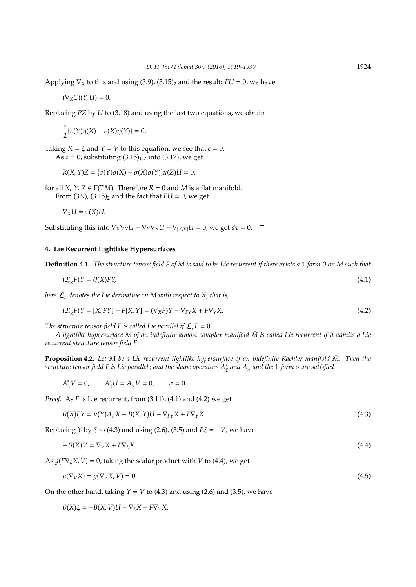Applying  $\nabla_X$  to this and using (3.9), (3.15)<sub>2</sub> and the result: *FU* = 0, we have

$$
(\nabla_X C)(Y,U)=0.
$$

Replacing *PZ* by *U* to (3.18) and using the last two equations, we obtain

$$
\frac{c}{2}\{v(Y)\eta(X)-v(X)\eta(Y)\}=0.
$$

Taking  $X = \xi$  and  $Y = V$  to this equation, we see that  $c = 0$ . As  $c = 0$ , substituting  $(3.15)_{1,2}$  into  $(3.17)$ , we get

*R*(*X*,*Y*)*Z* = {σ(*Y*)σ(*X*) − σ(*X*)σ(*Y*)}*u*(*Z*)*U* = 0,

for all *X*, *Y*, *Z*  $\in \Gamma(TM)$ . Therefore *R* = 0 and *M* is a flat manifold. From  $(3.9)$ ,  $(3.15)$ <sub>2</sub> and the fact that  $FU = 0$ , we get

$$
\nabla_X U = \tau(X)U.
$$

Substituting this into  $\nabla_X \nabla_Y U - \nabla_Y \nabla_X U - \nabla_{[X,Y]} U = 0$ , we get  $d\tau = 0$ .

# **4. Lie Recurrent Lightlike Hypersurfaces**

**Definition 4.1.** *The structure tensor field F of M is said to be Lie recurrent if there exists a* 1*-form* θ *on M such that*

$$
(\mathcal{L}_x F)Y = \theta(X)FY,\tag{4.1}
$$

here  $\mathcal{L}_{\text{x}}$  denotes the Lie derivative on M with respect to X, that is,

$$
(\mathcal{L}_X F)Y = [X, FY] - F[X, Y] = (\nabla_X F)Y - \nabla_{FY} X + F\nabla_Y X.
$$
\n(4.2)

*The structure tensor field F is called Lie parallel if*  $\mathcal{L}_r$  *F* = 0*.* 

A lightlike hypersurface M of an indefinite almost complex manifold  $\bar{M}$  is called Lie recurrent if it admits a Lie *recurrent structure tensor field F.*

**Proposition 4.2.** Let M be a Lie recurrent lightlike hypersurface of an indefinite Kaehler manifold  $\bar{M}$ . Then the *structure tensor field F is Lie parallel* ; *and the shape operators A*<sup>∗</sup> ξ *and A<sup>N</sup> and the* 1*-form* σ *are satisfied*

 $A_{\xi}^{*}V = 0$ ,  $A_{\xi}^{*}U = A_{N}V = 0$ ,  $\sigma = 0$ .

*Proof.* As *F* is Lie recurrent, from (3.11), (4.1) and (4.2) we get

$$
\theta(X)FY = u(Y)A_NX - B(X,Y)U - \nabla_{FY}X + F\nabla_YX.
$$
\n(4.3)

Replacing *Y* by ξ to (4.3) and using (2.6), (3.5) and *F*ξ = −*V*, we have

$$
-\theta(X)V = \nabla_V X + F\nabla_{\xi} X. \tag{4.4}
$$

As  $g(F\nabla_{\xi}X, V) = 0$ , taking the scalar product with *V* to (4.4), we get

$$
u(\nabla_V X) = g(\nabla_V X, V) = 0.
$$
\n
$$
(4.5)
$$

On the other hand, taking  $Y = V$  to (4.3) and using (2.6) and (3.5), we have

 $\theta(X)\xi = -B(X, V)U - \nabla_{\xi}X + F\nabla_{V}X.$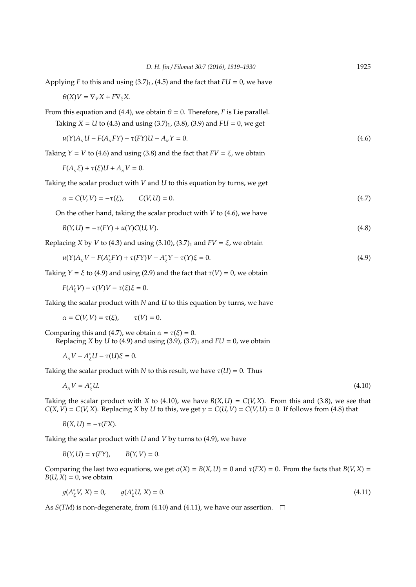| Applying F to this and using $(3.7)_1$ , $(4.5)$ and the fact that $FU = 0$ , we have                                                                                                    |       |
|------------------------------------------------------------------------------------------------------------------------------------------------------------------------------------------|-------|
| $\theta(X)V = \nabla_V X + F \nabla_z X$                                                                                                                                                 |       |
| From this equation and (4.4), we obtain $\theta = 0$ . Therefore, <i>F</i> is Lie parallel.<br>Taking $X = U$ to (4.3) and using (3.7) <sub>1</sub> , (3.8), (3.9) and $FU = 0$ , we get |       |
| $u(Y)A_{N}U - F(A_{N}FY) - \tau(FY)U - A_{N}Y = 0.$                                                                                                                                      | (4.6) |
| Taking $Y = V$ to (4.6) and using (3.8) and the fact that $FV = \xi$ , we obtain                                                                                                         |       |
| $F(A_{N}\xi) + \tau(\xi)U + A_{N}V = 0.$                                                                                                                                                 |       |
| Taking the scalar product with $V$ and $U$ to this equation by turns, we get                                                                                                             |       |
| $\alpha = C(V, V) = -\tau(\xi),$ $C(V, U) = 0.$                                                                                                                                          | (4.7) |
| On the other hand, taking the scalar product with $V$ to (4.6), we have                                                                                                                  |       |
| $B(Y, U) = -\tau (FY) + u(Y)C(U, V).$                                                                                                                                                    | (4.8) |

*D. H. Jin* / *Filomat 30:7 (2016), 1919–1930* 1925

Replacing *X* by *V* to (4.3) and using (3.10), (3.7)<sub>1</sub> and  $FV = \xi$ , we obtain

$$
u(Y)A_{N}V - F(A_{\xi}^{*}FY) + \tau(FY)V - A_{\xi}^{*}Y - \tau(Y)\xi = 0.
$$
\n
$$
(4.9)
$$

Taking  $Y = \xi$  to (4.9) and using (2.9) and the fact that  $\tau(V) = 0$ , we obtain

$$
F(A_{\xi}^*V) - \tau(V)V - \tau(\xi)\xi = 0.
$$

Taking the scalar product with *N* and *U* to this equation by turns, we have

 $\alpha = C(V, V) = \tau(\xi), \qquad \tau(V) = 0.$ 

Comparing this and (4.7), we obtain  $\alpha = \tau(\xi) = 0$ . Replacing *X* by *U* to (4.9) and using (3.9), (3.7)<sub>1</sub> and  $FU = 0$ , we obtain

$$
A_{N}V-A_{\xi}^{*}U-\tau(U)\xi=0.
$$

Taking the scalar product with *N* to this result, we have  $\tau(U) = 0$ . Thus

$$
A_{N}V = A_{\xi}^{*}U. \tag{4.10}
$$

Taking the scalar product with *X* to (4.10), we have  $B(X, U) = C(V, X)$ . From this and (3.8), we see that  $C(X, V) = C(V, X)$ . Replacing *X* by *U* to this, we get  $\gamma = C(U, V) = C(V, U) = 0$ . If follows from (4.8) that

$$
B(X, U) = -\tau(FX).
$$

Taking the scalar product with *U* and *V* by turns to (4.9), we have

 $B(Y, U) = \tau(FY), \qquad B(Y, V) = 0.$ 

Comparing the last two equations, we get  $\sigma(X) = B(X, U) = 0$  and  $\tau(FX) = 0$ . From the facts that  $B(V, X) =$  $B(U, X) = 0$ , we obtain

$$
g(A_{\xi}^{*}V, X) = 0, \qquad g(A_{\xi}^{*}U, X) = 0.
$$
\n(4.11)

As  $S(TM)$  is non-degenerate, from (4.10) and (4.11), we have our assertion.  $\square$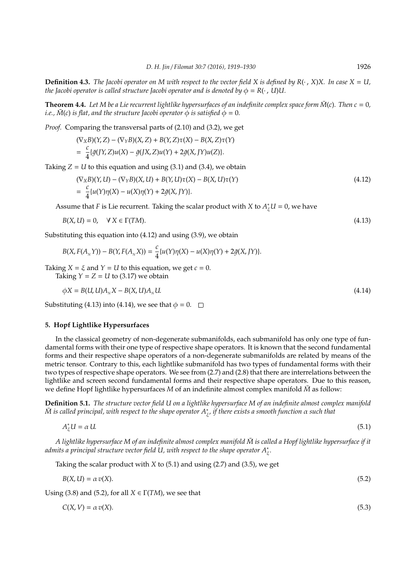**Definition 4.3.** *The Jacobi operator on M with respect to the vector field X is defined by R(* $\cdot$ *, X)X. In case X = U, the Jacobi operator is called structure Jacobi operator and is denoted by*  $\phi = R(\cdot, U)U$ .

**Theorem 4.4.** Let M be a Lie recurrent lightlike hypersurfaces of an indefinite complex space form  $\overline{M}(c)$ . Then  $c = 0$ , *i.e.,*  $\overline{M}(c)$  *is flat, and the structure Jacobi operator*  $\phi$  *is satisfied*  $\phi = 0$ *.* 

*Proof.* Comparing the transversal parts of (2.10) and (3.2), we get

$$
(\nabla_X B)(Y,Z) - (\nabla_Y B)(X,Z) + B(Y,Z)\tau(X) - B(X,Z)\tau(Y)
$$
  
= 
$$
\frac{c}{4} {\{\bar{g}(JY,Z)u(X) - \bar{g}(JX,Z)u(Y) + 2\bar{g}(X,JY)u(Z) \}}.
$$

Taking  $Z = U$  to this equation and using (3.1) and (3.4), we obtain

$$
(\nabla_X B)(Y, U) - (\nabla_Y B)(X, U) + B(Y, U)\tau(X) - B(X, U)\tau(Y)
$$
  
=  $\frac{c}{4} \{u(Y)\eta(X) - u(X)\eta(Y) + 2\bar{g}(X, JY)\}.$  (4.12)

Assume that *F* is Lie recurrent. Taking the scalar product with *X* to  $A_{\xi}^{*}U = 0$ , we have

$$
B(X, U) = 0, \quad \forall X \in \Gamma(TM). \tag{4.13}
$$

Substituting this equation into (4.12) and using (3.9), we obtain

$$
B(X, F(A_{_N}Y)) - B(Y, F(A_{_N}X)) = \frac{c}{4}\{u(Y)\eta(X) - u(X)\eta(Y) + 2\bar{g}(X, JY)\}.
$$

Taking  $X = \xi$  and  $Y = U$  to this equation, we get  $c = 0$ . Taking  $Y = Z = U$  to (3.17) we obtain

$$
\phi X = B(U, U)AN X - B(X, U)AN U.
$$
\n(4.14)

Substituting (4.13) into (4.14), we see that  $\phi = 0$ .  $\Box$ 

## **5. Hopf Lightlike Hypersurfaces**

In the classical geometry of non-degenerate submanifolds, each submanifold has only one type of fundamental forms with their one type of respective shape operators. It is known that the second fundamental forms and their respective shape operators of a non-degenerate submanifolds are related by means of the metric tensor. Contrary to this, each lightlike submanifold has two types of fundamental forms with their two types of respective shape operators. We see from (2.7) and (2.8) that there are interrelations between the lightlike and screen second fundamental forms and their respective shape operators. Due to this reason, we define Hopf lightlike hypersurfaces *M* of an indefinite almost complex manifold *M* as follow:

**Definition 5.1.** *The structure vector field U on a lightlike hypersurface M of an indefinite almost complex manifold M* is called principal, with respect to the shape operator  $A_\xi^*$ , if there exists a smooth function α such that

$$
A_{\xi}^*U = \alpha U. \tag{5.1}
$$

*A lightlike hypersurface M of an indefinite almost complex manifold M* is called a Hopf lightlike hypersurface if it *admits a principal structure vector field U, with respect to the shape operator A*<sup>∗</sup> ξ *.*

Taking the scalar product with *X* to (5.1) and using (2.7) and (3.5), we get

$$
B(X, U) = \alpha v(X). \tag{5.2}
$$

Using (3.8) and (5.2), for all  $X \in \Gamma(TM)$ , we see that

$$
C(X, V) = \alpha v(X). \tag{5.3}
$$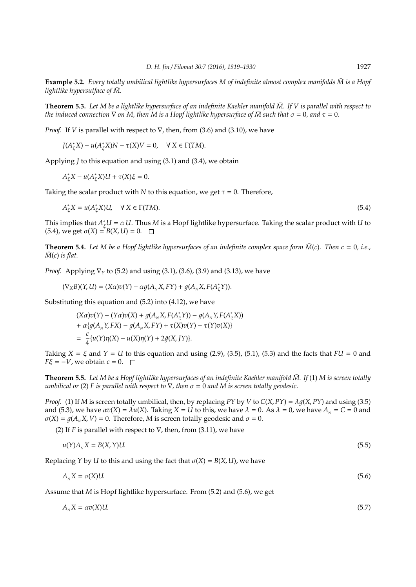**Example 5.2.** *Every totally umbilical lightlike hypersurfaces M of indefinite almost complex manifolds*  $\bar{M}$  *is a Hopf lightlike hypersutface of*  $\overline{M}$ *.* 

**Theorem 5.3.** Let M be a lightlike hypersurface of an indefinite Kaehler manifold  $\bar{M}$ . If V is parallel with respect to *the induced connection*  $\nabla$  *on M, then M is a Hopf lightlike hypersurface of*  $\overline{M}$  *such that*  $\sigma = 0$ *, and*  $\tau = 0$ *.* 

*Proof.* If *V* is parallel with respect to  $\nabla$ , then, from (3.6) and (3.10), we have

*J*(*A*<sup>\*</sup><sub>ξ</sub>*X*</sub>)*N* − τ(*X*)*V* = 0,  $\forall$  *X* ∈ Γ(*TM*).

Applying *J* to this equation and using (3.1) and (3.4), we obtain

*A*<sup>\*</sup><sub>ξ</sub>*X*</sub> − *u*(*A*<sup>\*</sup><sub>ξ</sub>*X*)*U* + τ(*X*)*ξ* = 0.

Taking the scalar product with *N* to this equation, we get  $\tau = 0$ . Therefore,

 $A_{\xi}^{*}X = u(A_{\xi}^{*}X)U, \quad \forall X \in \Gamma(TM).$  (5.4)

This implies that  $A^*_{\xi}U = \alpha U$ . Thus *M* is a Hopf lightlike hypersurface. Taking the scalar product with *U* to  $(5.4)$ , we get  $σ(X) = B(X, U) = 0$ . □

**Theorem 5.4.** Let M be a Hopf lightlike hypersurfaces of an indefinite complex space form  $\bar{M}(c)$ . Then  $c = 0$ , i.e.,  $\bar{M}(c)$  *is flat.* 

*Proof.* Applying  $∇<sub>γ</sub>$  to (5.2) and using (3.1), (3.6), (3.9) and (3.13), we have

$$
(\nabla_X B)(Y, U) = (X\alpha)v(Y) - \alpha g(A_N X, FY) + g(A_N X, F(A_\xi^*)).
$$

Substituting this equation and (5.2) into (4.12), we have

$$
(X\alpha)v(Y) - (Y\alpha)v(X) + g(A_{N}X, F(A_{\xi}^{*}Y)) - g(A_{N}Y, F(A_{\xi}^{*}X))
$$
  
+  $\alpha\{g(A_{N}Y, FX) - g(A_{N}X, FY) + \tau(X)v(Y) - \tau(Y)v(X)\}$   
=  $\frac{c}{4}\{u(Y)\eta(X) - u(X)\eta(Y) + 2\bar{g}(X, JY)\}.$ 

Taking  $X = \xi$  and  $Y = U$  to this equation and using (2.9), (3.5), (5.1), (5.3) and the facts that  $FU = 0$  and  $F\xi = -V$ , we obtain  $c = 0$ .  $\Box$ 

**Theorem 5.5.** Let M be a Hopf lightlike hypersurfaces of an indefinite Kaehler manifold  $\bar{M}$ . If (1) M is screen totally *umbilical or* (2) *F is parallel with respect to*  $\nabla$ *, then*  $\sigma = 0$  *and*  $M$  *is screen totally geodesic.* 

*Proof.* (1) If *M* is screen totally umbilical, then, by replacing *PY* by *V* to  $C(X, PY) = \lambda q(X, PY)$  and using (3.5) and (5.3), we have  $\alpha v(X) = \lambda u(X)$ . Taking  $X = U$  to this, we have  $\lambda = 0$ . As  $\lambda = 0$ , we have  $A<sub>N</sub> = C = 0$  and  $\sigma(X) = q(A_x X, V) = 0$ . Therefore, *M* is screen totally geodesic and  $\sigma = 0$ .

(2) If *F* is parallel with respect to ∇, then, from (3.11), we have

$$
u(Y)A_{N}X = B(X,Y)U.
$$
\n
$$
(5.5)
$$

Replacing *Y* by *U* to this and using the fact that  $\sigma(X) = B(X, U)$ , we have

$$
A_{N}X = \sigma(X)U.\tag{5.6}
$$

Assume that *M* is Hopf lightlike hypersurface. From (5.2) and (5.6), we get

$$
A_{N}X = \alpha v(X)U.\tag{5.7}
$$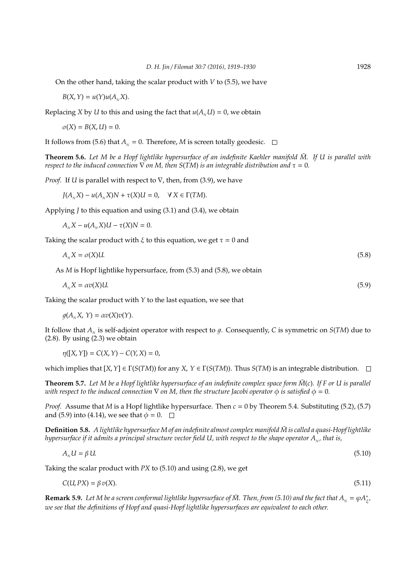On the other hand, taking the scalar product with *V* to (5.5), we have

 $B(X, Y) = u(Y)u(A, X).$ 

Replacing *X* by *U* to this and using the fact that  $u(A<sub>N</sub>U) = 0$ , we obtain

 $\sigma(X) = B(X, U) = 0.$ 

It follows from (5.6) that  $A<sub>N</sub> = 0$ . Therefore, *M* is screen totally geodesic.  $\Box$ 

**Theorem 5.6.** Let M be a Hopf lightlike hypersurface of an indefinite Kaehler manifold M. If U is parallel with *respect to the induced connection*  $\nabla$  *on M*, *then S*(*TM*) *is an integrable distribution and*  $\tau = 0$ *.* 

*Proof.* If *U* is parallel with respect to  $∇$ , then, from (3.9), we have

 $J(A, X) - u(A, X)N + \tau(X)U = 0$ ,  $\forall X \in \Gamma(TM)$ .

Applying *J* to this equation and using (3.1) and (3.4), we obtain

 $A_{N}X - u(A_{N}X)U - \tau(X)N = 0.$ 

Taking the scalar product with  $\xi$  to this equation, we get  $\tau = 0$  and

$$
A_{N}X = \sigma(X)U.\tag{5.8}
$$

As *M* is Hopf lightlike hypersurface, from (5.3) and (5.8), we obtain

$$
A_{N}X = \alpha v(X)U.\tag{5.9}
$$

Taking the scalar product with *Y* to the last equation, we see that

 $q(A_{N}X, Y) = \alpha v(X)v(Y).$ 

It follow that  $A_N$  is self-adjoint operator with respect to  $g$ . Consequently, *C* is symmetric on *S*(*TM*) due to (2.8). By using (2.3) we obtain

 $\eta([X, Y]) = C(X, Y) - C(Y, X) = 0,$ 

which implies that  $[X, Y] \in \Gamma(S(TM))$  for any  $X, Y \in \Gamma(S(TM))$ . Thus  $S(TM)$  is an integrable distribution.  $\square$ 

**Theorem 5.7.** Let M be a Hopf lightlike hypersurface of an indefinite complex space form  $\bar{M}(c)$ . If F or U is parallel *with respect to the induced connection*  $\nabla$  *on M, then the structure Jacobi operator*  $\phi$  *is satisfied*  $\phi = 0$ *.* 

*Proof.* Assume that *M* is a Hopf lightlike hypersurface. Then  $c = 0$  by Theorem 5.4. Substituting (5.2), (5.7) and (5.9) into (4.14), we see that  $\phi = 0$ .  $\Box$ 

**Definition 5.8.** A lightlike hypersurface M of an indefinite almost complex manifold  $\overline{M}$  is called a quasi-Hopf lightlike *hypersurface if it admits a principal structure vector field U, with respect to the shape operator A<sup>N</sup> , that is,*

$$
A_{N}U = \beta U. \tag{5.10}
$$

Taking the scalar product with *PX* to (5.10) and using (2.8), we get

 $C(U, PX) = \beta v(X).$  (5.11)

**Remark 5.9.** Let M be a screen conformal lightlike hypersurface of  $\bar{M}$ . Then, from (5.10) and the fact that  $A_N = \varphi A_N^*$ ξ *, we see that the definitions of Hopf and quasi-Hopf lightlike hypersurfaces are equivalent to each other.*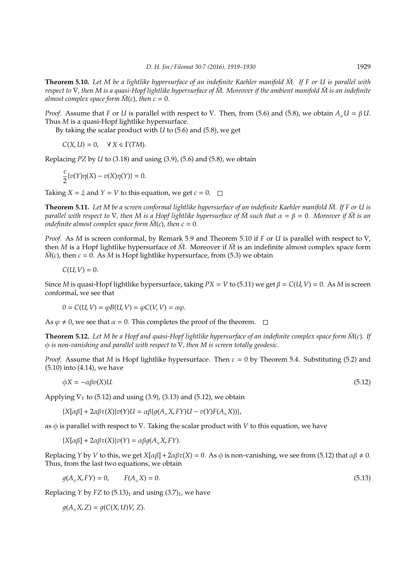**Theorem 5.10.** Let M be a lightlike hypersurface of an indefinite Kaehler manifold  $\bar{M}$ . If F or U is parallel with *respect to*  $\nabla$ *, then* M is a quasi-Hopf lightlike hypersurface of  $\overline{M}$ . Moreover if the ambient manifold  $\overline{M}$  is an indefinite *almost complex space form*  $\overline{M}(c)$ *, then*  $c = 0$ *.* 

*Proof.* Assume that *F* or *U* is parallel with respect to  $\nabla$ . Then, from (5.6) and (5.8), we obtain  $A_yU = \beta U$ . Thus *M* is a quasi-Hopf lightlike hypersurface.

By taking the scalar product with *U* to (5.6) and (5.8), we get

 $C(X, U) = 0$ ,  $\forall X \in \Gamma(TM)$ .

Replacing *PZ* by *U* to (3.18) and using (3.9), (5.6) and (5.8), we obtain

$$
\frac{c}{2}\{v(Y)\eta(X) - v(X)\eta(Y)\} = 0.
$$

Taking  $X = \xi$  and  $Y = V$  to this equation, we get  $c = 0$ .

**Theorem 5.11.** *Let M be a screen conformal lightlike hypersurface of an indefinite Kaehler manifold M. If F or U is* ¯ *parallel with respect to*  $\nabla$ *, then* M is a Hopf lightlike hypersurface of M such that  $\alpha = \beta = 0$ *. Moreover if*  $\overline{M}$  is an *indefinite almost complex space form*  $\overline{M}(c)$ *, then c* = 0*.* 

*Proof.* As *M* is screen conformal, by Remark 5.9 and Theorem 5.10 if *F* or *U* is parallel with respect to ∇, then *M* is a Hopf lightlike hypersurface of  $\bar{M}$ . Moreover if  $\bar{M}$  is an indefinite almost complex space form  $\overline{M}(c)$ , then  $c = 0$ . As *M* is Hopf lightlike hypersurface, from (5.3) we obtain

$$
C(U,V)=0.
$$

Since *M* is quasi-Hopf lightlike hypersurface, taking  $PX = V$  to (5.11) we get  $\beta = C(U, V) = 0$ . As *M* is screen conformal, we see that

$$
0 = C(U, V) = \varphi B(U, V) = \varphi C(V, V) = \alpha \varphi.
$$

As  $\varphi \neq 0$ , we see that  $\alpha = 0$ . This completes the proof of the theorem.  $\square$ 

**Theorem 5.12.** Let M be a Hopf and quasi-Hopf lightlike hypersurface of an indefinite complex space form  $\overline{M}(c)$ . If φ *is non-vanishing and parallel with respect to* ∇*, then M is screen totally geodesic.*

*Proof.* Assume that *M* is Hopf lightlike hypersurface. Then  $c = 0$  by Theorem 5.4. Substituting (5.2) and (5.10) into (4.14), we have

$$
\phi X = -\alpha \beta v(X) U. \tag{5.12}
$$

Applying ∇*<sup>Y</sup>* to (5.12) and using (3.9), (3.13) and (5.12), we obtain

 ${X[\alpha\beta] + 2\alpha\beta\tau(X)}\nu(Y)U = \alpha\beta\{q(A_{N}X, FY)U - \nu(Y)F(A_{N}X)\},$ 

as φ is parallel with respect to ∇. Taking the scalar product with *V* to this equation, we have

 ${X[\alpha\beta] + 2\alpha\beta\tau(X)}\nu(Y) = \alpha\beta q(A_{N}X, FY).$ 

Replacing *Y* by *V* to this, we get  $X[\alpha\beta] + 2\alpha\beta\tau(X) = 0$ . As  $\phi$  is non-vanishing, we see from (5.12) that  $\alpha\beta \neq 0$ . Thus, from the last two equations, we obtain

$$
g(AN X, FY) = 0, \qquad F(AN X) = 0. \tag{5.13}
$$

Replacing *Y* by *FZ* to  $(5.13)<sub>1</sub>$  and using  $(3.7)<sub>1</sub>$ , we have

 $q(A_N X, Z) = q(C(X, U)V, Z).$